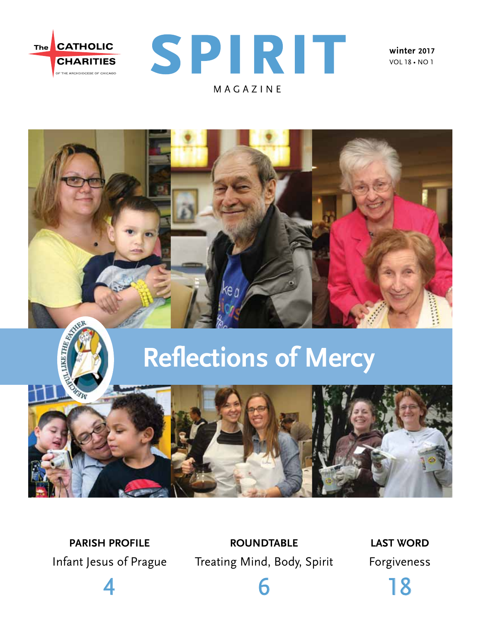



**winter 2017** vol 18 • no 1



# **Reflections of Mercy**



**parish profile**  Infant Jesus of Prague

4

**roundtable**  Treating Mind, Body, Spirit

6

**last word** Forgiveness

18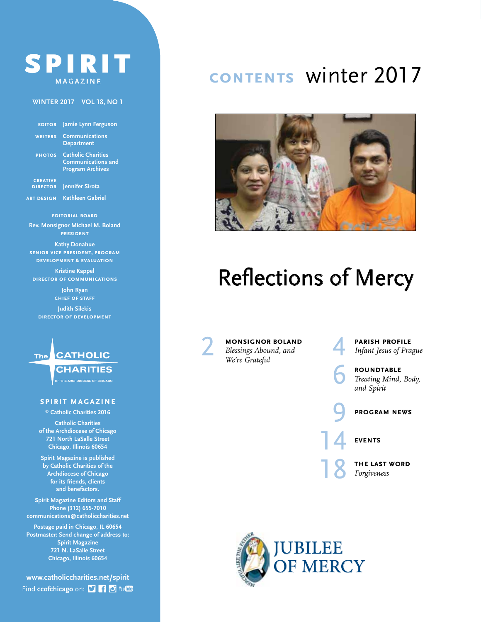### SPIRIT magazine

#### **winter 2017 vol 18, no 1**

| <b>EDITOR</b>                      | Jamie Lynn Ferguson                                                               |
|------------------------------------|-----------------------------------------------------------------------------------|
| <b>WRITERS</b>                     | <b>Communications</b><br><b>Department</b>                                        |
| <b>PHOTOS</b>                      | <b>Catholic Charities</b><br><b>Communications and</b><br><b>Program Archives</b> |
| <b>CREATIVE</b><br><b>DIRECTOR</b> | <b>Jennifer Sirota</b>                                                            |

**art design Kathleen Gabriel**

**editorial board Rev. Monsignor Michael M. Boland president**

**Kathy Donahue senior vice president, program development & evaluation**

**Kristine Kappel director of communications**

> **John Ryan chief of staff**

**Judith Silekis director of development**



**PE THE ARCHDIOCESE OF CHICAGO** 

#### **spirit magazine**

**© Catholic Charities 2016 Catholic Charities**

**of the Archdiocese of Chicago 721 North LaSalle Street Chicago, Illinois 60654**

**Spirit Magazine is published by Catholic Charities of the Archdiocese of Chicago for its friends, clients and benefactors.**

**Spirit Magazine Editors and Staff Phone (312) 655-7010 communications@catholiccharities.net**

**Postage paid in Chicago, IL 60654 Postmaster: Send change of address to: Spirit Magazine 721 N. LaSalle Street Chicago, Illinois 60654**

**www.catholiccharities.net/spirit** Find ccofchicago on: [] [] [] Youther

### **contents** winter 2017



# Reflections of Mercy

2 **monsignor boland** *Blessings Abound, and We're Grateful*

**PARISH PROFILE**<br>Infant Jesus of Pra *Infant Jesus of Prague*

**ROUNDTABLE**<br>Treating Mind,<br>and Snirit *Treating Mind, Body, and Spirit*

#### 9 **program news**

14 **events**

**THE LAST WORD** *Forgiveness*

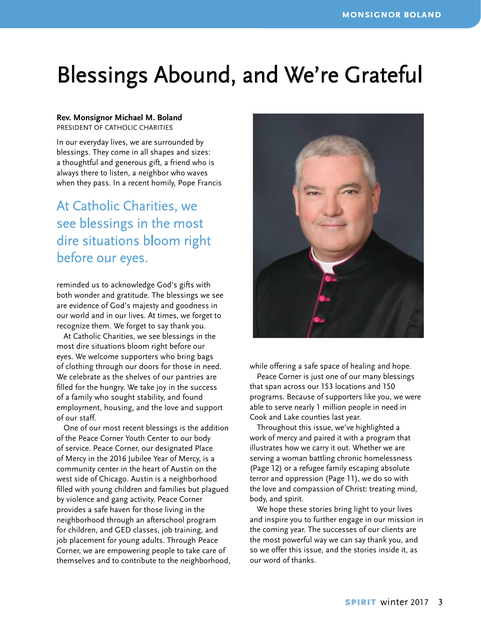# Blessings Abound, and We're Grateful

#### **Rev. Monsignor Michael M. Boland**

president of catholic charities

In our everyday lives, we are surrounded by blessings. They come in all shapes and sizes: a thoughtful and generous gift, a friend who is always there to listen, a neighbor who waves when they pass. In a recent homily, Pope Francis

### At Catholic Charities, we see blessings in the most dire situations bloom right before our eyes.

reminded us to acknowledge God's gifts with both wonder and gratitude. The blessings we see are evidence of God's majesty and goodness in our world and in our lives. At times, we forget to recognize them. We forget to say thank you.

At Catholic Charities, we see blessings in the most dire situations bloom right before our eyes. We welcome supporters who bring bags of clothing through our doors for those in need. We celebrate as the shelves of our pantries are filled for the hungry. We take joy in the success of a family who sought stability, and found employment, housing, and the love and support of our staff.

One of our most recent blessings is the addition of the Peace Corner Youth Center to our body of service. Peace Corner, our designated Place of Mercy in the 2016 Jubilee Year of Mercy, is a community center in the heart of Austin on the west side of Chicago. Austin is a neighborhood filled with young children and families but plagued by violence and gang activity. Peace Corner provides a safe haven for those living in the neighborhood through an afterschool program for children, and GED classes, job training, and job placement for young adults. Through Peace Corner, we are empowering people to take care of themselves and to contribute to the neighborhood,



while offering a safe space of healing and hope.

Peace Corner is just one of our many blessings that span across our 153 locations and 150 programs. Because of supporters like you, we were able to serve nearly 1 million people in need in Cook and Lake counties last year.

Throughout this issue, we've highlighted a work of mercy and paired it with a program that illustrates how we carry it out. Whether we are serving a woman battling chronic homelessness (Page 12) or a refugee family escaping absolute terror and oppression (Page 11), we do so with the love and compassion of Christ: treating mind, body, and spirit.

We hope these stories bring light to your lives and inspire you to further engage in our mission in the coming year. The successes of our clients are the most powerful way we can say thank you, and so we offer this issue, and the stories inside it, as our word of thanks.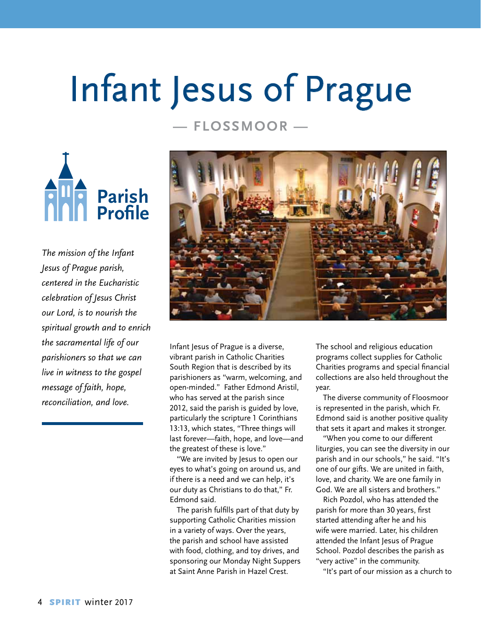# Infant Jesus of Prague

#### **— Flossmoor —**



*The mission of the Infant Jesus of Prague parish, centered in the Eucharistic celebration of Jesus Christ our Lord, is to nourish the spiritual growth and to enrich the sacramental life of our parishioners so that we can live in witness to the gospel message of faith, hope, reconciliation, and love.*



Infant Jesus of Prague is a diverse, vibrant parish in Catholic Charities South Region that is described by its parishioners as "warm, welcoming, and open-minded." Father Edmond Aristil, who has served at the parish since 2012, said the parish is guided by love, particularly the scripture 1 Corinthians 13:13, which states, "Three things will last forever—faith, hope, and love—and the greatest of these is love."

"We are invited by Jesus to open our eyes to what's going on around us, and if there is a need and we can help, it's our duty as Christians to do that," Fr. Edmond said.

The parish fulfills part of that duty by supporting Catholic Charities mission in a variety of ways. Over the years, the parish and school have assisted with food, clothing, and toy drives, and sponsoring our Monday Night Suppers at Saint Anne Parish in Hazel Crest.

The school and religious education programs collect supplies for Catholic Charities programs and special financial collections are also held throughout the year.

The diverse community of Floosmoor is represented in the parish, which Fr. Edmond said is another positive quality that sets it apart and makes it stronger.

"When you come to our different liturgies, you can see the diversity in our parish and in our schools," he said. "It's one of our gifts. We are united in faith, love, and charity. We are one family in God. We are all sisters and brothers."

Rich Pozdol, who has attended the parish for more than 30 years, first started attending after he and his wife were married. Later, his children attended the Infant Jesus of Prague School. Pozdol describes the parish as "very active" in the community.

"It's part of our mission as a church to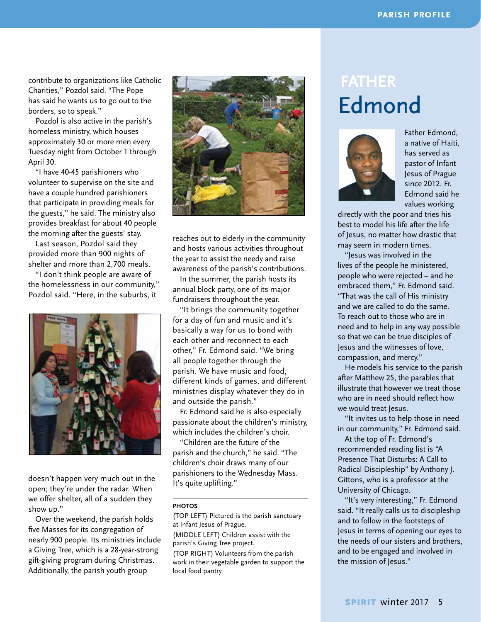contribute to organizations like Catholic Charities," Pozdol said. "The Pope has said he wants us to go out to the borders, so to speak."

Pozdol is also active in the parish's homeless ministry, which houses approximately 30 or more men every Tuesday night from October 1 through April 30.

"I have 40-45 parishioners who volunteer to supervise on the site and have a couple hundred parishioners that participate in providing meals for the guests," he said. The ministry also provides breakfast for about 40 people the morning after the guests' stay.

Last season, Pozdol said they provided more than 900 nights of shelter and more than 2,700 meals.

"I don't think people are aware of the homelessness in our community," Pozdol said. "Here, in the suburbs, it



doesn't happen very much out in the open; they're under the radar. When we offer shelter, all of a sudden they show up."

Over the weekend, the parish holds five Masses for its congregation of nearly 900 people. Its ministries include a Giving Tree, which is a 28-year-strong gift-giving program during Christmas. Additionally, the parish youth group



reaches out to elderly in the community and hosts various activities throughout the year to assist the needy and raise awareness of the parish's contributions.

In the summer, the parish hosts its annual block party, one of its major fundraisers throughout the year.

"It brings the community together for a day of fun and music and it's basically a way for us to bond with each other and reconnect to each other," Fr. Edmond said. "We bring all people together through the parish. We have music and food, different kinds of games, and different ministries display whatever they do in and outside the parish."

Fr. Edmond said he is also especially passionate about the children's ministry, which includes the children's choir

"Children are the future of the parish and the church," he said. "The children's choir draws many of our parishioners to the Wednesday Mass. It's quite uplifting."

#### **PHOTOS**

(TOP LEFT) Pictured is the parish sanctuary at Infant Jesus of Prague.

(MIDDLE LEFT) Children assist with the parish's Giving Tree project.

(TOP RIGHT) Volunteers from the parish work in their vegetable garden to support the local food pantry.

### **FATHER** Edmond



Father Edmond, a native of Haiti, has served as pastor of Infant Jesus of Prague since 2012. Fr. Edmond said he values working

directly with the poor and tries his best to model his life after the life of Jesus, no matter how drastic that may seem in modern times.

"Jesus was involved in the lives of the people he ministered, people who were rejected – and he embraced them," Fr. Edmond said. "That was the call of His ministry and we are called to do the same. To reach out to those who are in need and to help in any way possible so that we can be true disciples of Jesus and the witnesses of love, compassion, and mercy."

He models his service to the parish after Matthew 25, the parables that illustrate that however we treat those who are in need should reflect how we would treat lesus.

"It invites us to help those in need in our community," Fr. Edmond said.

At the top of Fr. Edmond's recommended reading list is "A Presence That Disturbs: A Call to Radical Discipleship" by Anthony J. Gittons, who is a professor at the University of Chicago.

"It's very interesting," Fr. Edmond said. "It really calls us to discipleship and to follow in the footsteps of Jesus in terms of opening our eyes to the needs of our sisters and brothers, and to be engaged and involved in the mission of Jesus."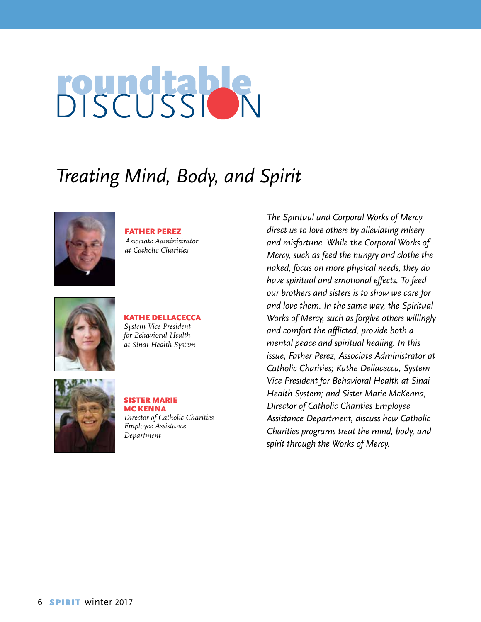# **POUNDERPRE**

## *Treating Mind, Body, and Spirit*



father perez *Associate Administrator at Catholic Charities*



#### Kathe Dellacecca *System Vice President for Behavioral Health at Sinai Health System*



Sister Marie Mc Kenna *Director of Catholic Charities Employee Assistance Department* 

*The Spiritual and Corporal Works of Mercy direct us to love others by alleviating misery and misfortune. While the Corporal Works of Mercy, such as feed the hungry and clothe the naked, focus on more physical needs, they do have spiritual and emotional effects. To feed our brothers and sisters is to show we care for and love them. In the same way, the Spiritual Works of Mercy, such as forgive others willingly and comfort the afflicted, provide both a mental peace and spiritual healing. In this issue, Father Perez, Associate Administrator at Catholic Charities; Kathe Dellacecca, System Vice President for Behavioral Health at Sinai Health System; and Sister Marie McKenna, Director of Catholic Charities Employee Assistance Department, discuss how Catholic Charities programs treat the mind, body, and spirit through the Works of Mercy.*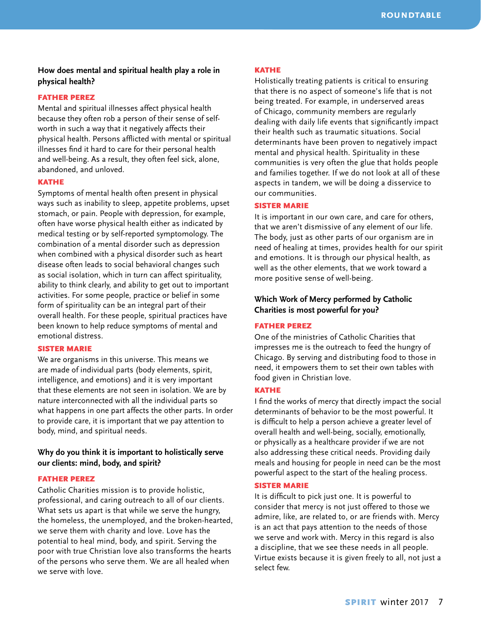#### **How does mental and spiritual health play a role in physical health?**

#### Father Perez

Mental and spiritual illnesses affect physical health because they often rob a person of their sense of selfworth in such a way that it negatively affects their physical health. Persons afflicted with mental or spiritual illnesses find it hard to care for their personal health and well-being. As a result, they often feel sick, alone, abandoned, and unloved.

#### **KATHE**

Symptoms of mental health often present in physical ways such as inability to sleep, appetite problems, upset stomach, or pain. People with depression, for example, often have worse physical health either as indicated by medical testing or by self-reported symptomology. The combination of a mental disorder such as depression when combined with a physical disorder such as heart disease often leads to social behavioral changes such as social isolation, which in turn can affect spirituality, ability to think clearly, and ability to get out to important activities. For some people, practice or belief in some form of spirituality can be an integral part of their overall health. For these people, spiritual practices have been known to help reduce symptoms of mental and emotional distress.

#### Sister Marie

We are organisms in this universe. This means we are made of individual parts (body elements, spirit, intelligence, and emotions) and it is very important that these elements are not seen in isolation. We are by nature interconnected with all the individual parts so what happens in one part affects the other parts. In order to provide care, it is important that we pay attention to body, mind, and spiritual needs.

#### **Why do you think it is important to holistically serve our clients: mind, body, and spirit?**

#### Father Perez

Catholic Charities mission is to provide holistic, professional, and caring outreach to all of our clients. What sets us apart is that while we serve the hungry, the homeless, the unemployed, and the broken-hearted, we serve them with charity and love. Love has the potential to heal mind, body, and spirit. Serving the poor with true Christian love also transforms the hearts of the persons who serve them. We are all healed when we serve with love.

#### **KATHE**

Holistically treating patients is critical to ensuring that there is no aspect of someone's life that is not being treated. For example, in underserved areas of Chicago, community members are regularly dealing with daily life events that significantly impact their health such as traumatic situations. Social determinants have been proven to negatively impact mental and physical health. Spirituality in these communities is very often the glue that holds people and families together. If we do not look at all of these aspects in tandem, we will be doing a disservice to our communities.

#### Sister Marie

It is important in our own care, and care for others, that we aren't dismissive of any element of our life. The body, just as other parts of our organism are in need of healing at times, provides health for our spirit and emotions. It is through our physical health, as well as the other elements, that we work toward a more positive sense of well-being.

#### **Which Work of Mercy performed by Catholic Charities is most powerful for you?**

#### Father Perez

One of the ministries of Catholic Charities that impresses me is the outreach to feed the hungry of Chicago. By serving and distributing food to those in need, it empowers them to set their own tables with food given in Christian love.

#### **KATHE**

I find the works of mercy that directly impact the social determinants of behavior to be the most powerful. It is difficult to help a person achieve a greater level of overall health and well-being, socially, emotionally, or physically as a healthcare provider if we are not also addressing these critical needs. Providing daily meals and housing for people in need can be the most powerful aspect to the start of the healing process.

#### Sister Marie

It is difficult to pick just one. It is powerful to consider that mercy is not just offered to those we admire, like, are related to, or are friends with. Mercy is an act that pays attention to the needs of those we serve and work with. Mercy in this regard is also a discipline, that we see these needs in all people. Virtue exists because it is given freely to all, not just a select few.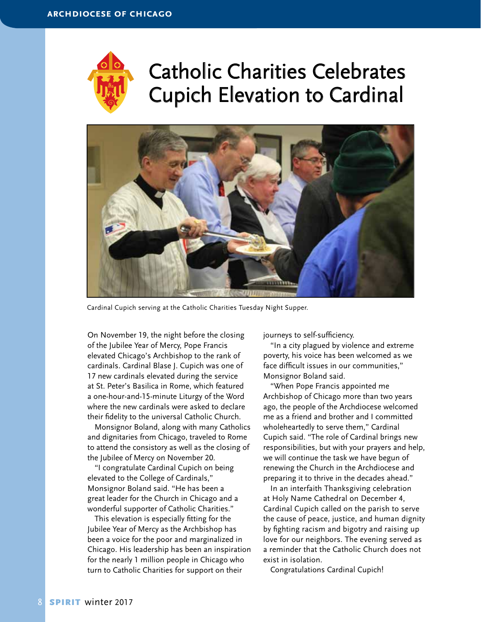

## Catholic Charities Celebrates Cupich Elevation to Cardinal



Cardinal Cupich serving at the Catholic Charities Tuesday Night Supper.

On November 19, the night before the closing of the Jubilee Year of Mercy, Pope Francis elevated Chicago's Archbishop to the rank of cardinals. Cardinal Blase J. Cupich was one of 17 new cardinals elevated during the service at St. Peter's Basilica in Rome, which featured a one-hour-and-15-minute Liturgy of the Word where the new cardinals were asked to declare their fidelity to the universal Catholic Church.

Monsignor Boland, along with many Catholics and dignitaries from Chicago, traveled to Rome to attend the consistory as well as the closing of the Jubilee of Mercy on November 20.

"I congratulate Cardinal Cupich on being elevated to the College of Cardinals," Monsignor Boland said. "He has been a great leader for the Church in Chicago and a wonderful supporter of Catholic Charities."

This elevation is especially fitting for the Jubilee Year of Mercy as the Archbishop has been a voice for the poor and marginalized in Chicago. His leadership has been an inspiration for the nearly 1 million people in Chicago who turn to Catholic Charities for support on their

journeys to self-sufficiency.

"In a city plagued by violence and extreme poverty, his voice has been welcomed as we face difficult issues in our communities," Monsignor Boland said.

"When Pope Francis appointed me Archbishop of Chicago more than two years ago, the people of the Archdiocese welcomed me as a friend and brother and I committed wholeheartedly to serve them," Cardinal Cupich said. "The role of Cardinal brings new responsibilities, but with your prayers and help, we will continue the task we have begun of renewing the Church in the Archdiocese and preparing it to thrive in the decades ahead."

In an interfaith Thanksgiving celebration at Holy Name Cathedral on December 4, Cardinal Cupich called on the parish to serve the cause of peace, justice, and human dignity by fighting racism and bigotry and raising up love for our neighbors. The evening served as a reminder that the Catholic Church does not exist in isolation.

Congratulations Cardinal Cupich!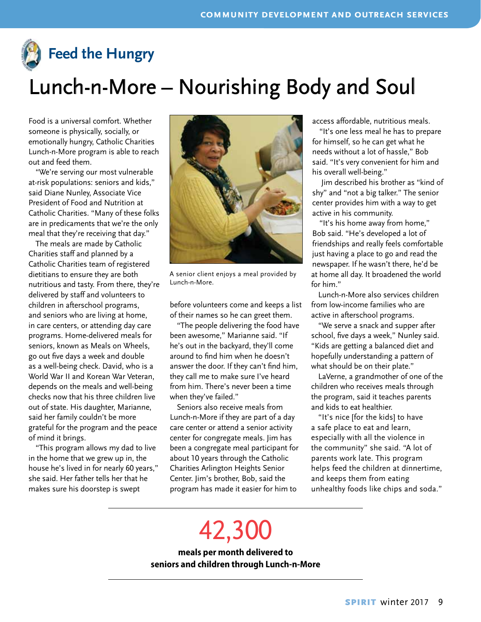

# Lunch-n-More – Nourishing Body and Soul

Food is a universal comfort. Whether someone is physically, socially, or emotionally hungry, Catholic Charities Lunch-n-More program is able to reach out and feed them.

"We're serving our most vulnerable at-risk populations: seniors and kids," said Diane Nunley, Associate Vice President of Food and Nutrition at Catholic Charities. "Many of these folks are in predicaments that we're the only meal that they're receiving that day."

The meals are made by Catholic Charities staff and planned by a Catholic Charities team of registered dietitians to ensure they are both nutritious and tasty. From there, they're delivered by staff and volunteers to children in afterschool programs, and seniors who are living at home, in care centers, or attending day care programs. Home-delivered meals for seniors, known as Meals on Wheels, go out five days a week and double as a well-being check. David, who is a World War II and Korean War Veteran, depends on the meals and well-being checks now that his three children live out of state. His daughter, Marianne, said her family couldn't be more grateful for the program and the peace of mind it brings.

"This program allows my dad to live in the home that we grew up in, the house he's lived in for nearly 60 years," she said. Her father tells her that he makes sure his doorstep is swept



A senior client enjoys a meal provided by Lunch-n-More.

before volunteers come and keeps a list of their names so he can greet them.

"The people delivering the food have been awesome," Marianne said. "If he's out in the backyard, they'll come around to find him when he doesn't answer the door. If they can't find him, they call me to make sure I've heard from him. There's never been a time when they've failed."

Seniors also receive meals from Lunch-n-More if they are part of a day care center or attend a senior activity center for congregate meals. Jim has been a congregate meal participant for about 10 years through the Catholic Charities Arlington Heights Senior Center. Jim's brother, Bob, said the program has made it easier for him to

access affordable, nutritious meals.

"It's one less meal he has to prepare for himself, so he can get what he needs without a lot of hassle," Bob said. "It's very convenient for him and his overall well-being."

 Jim described his brother as "kind of shy" and "not a big talker." The senior center provides him with a way to get active in his community.

"It's his home away from home," Bob said. "He's developed a lot of friendships and really feels comfortable just having a place to go and read the newspaper. If he wasn't there, he'd be at home all day. It broadened the world for him."

Lunch-n-More also services children from low-income families who are active in afterschool programs.

"We serve a snack and supper after school, five days a week," Nunley said. "Kids are getting a balanced diet and hopefully understanding a pattern of what should be on their plate."

LaVerne, a grandmother of one of the children who receives meals through the program, said it teaches parents and kids to eat healthier.

"It's nice [for the kids] to have a safe place to eat and learn, especially with all the violence in the community" she said. "A lot of parents work late. This program helps feed the children at dinnertime, and keeps them from eating unhealthy foods like chips and soda."

# 42,300

**meals per month delivered to seniors and children through Lunch-n-More**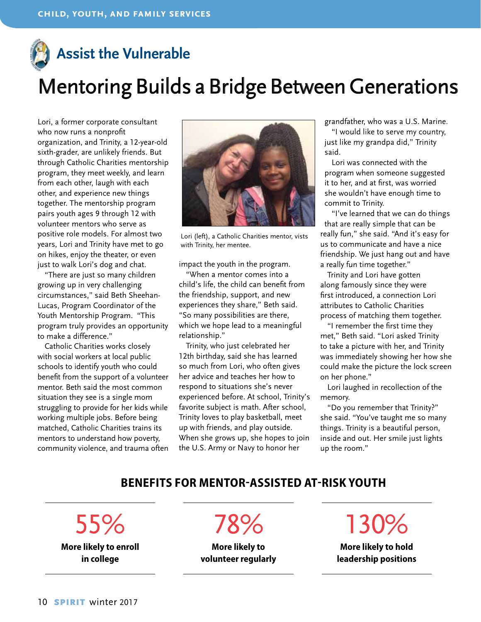### **Assist the Vulnerable**

## Mentoring Builds a Bridge Between Generations

Lori, a former corporate consultant who now runs a nonprofit organization, and Trinity, a 12-year-old sixth-grader, are unlikely friends. But through Catholic Charities mentorship program, they meet weekly, and learn from each other, laugh with each other, and experience new things together. The mentorship program pairs youth ages 9 through 12 with volunteer mentors who serve as positive role models. For almost two years, Lori and Trinity have met to go on hikes, enjoy the theater, or even just to walk Lori's dog and chat.

"There are just so many children growing up in very challenging circumstances," said Beth Sheehan-Lucas, Program Coordinator of the Youth Mentorship Program. "This program truly provides an opportunity to make a difference."

Catholic Charities works closely with social workers at local public schools to identify youth who could benefit from the support of a volunteer mentor. Beth said the most common situation they see is a single mom struggling to provide for her kids while working multiple jobs. Before being matched, Catholic Charities trains its mentors to understand how poverty, community violence, and trauma often



Lori (left), a Catholic Charities mentor, vists with Trinity, her mentee.

impact the youth in the program.

"When a mentor comes into a child's life, the child can benefit from the friendship, support, and new experiences they share," Beth said. "So many possibilities are there, which we hope lead to a meaningful relationship."

Trinity, who just celebrated her 12th birthday, said she has learned so much from Lori, who often gives her advice and teaches her how to respond to situations she's never experienced before. At school, Trinity's favorite subject is math. After school, Trinity loves to play basketball, meet up with friends, and play outside. When she grows up, she hopes to join the U.S. Army or Navy to honor her

grandfather, who was a U.S. Marine.

"I would like to serve my country, just like my grandpa did," Trinity said.

Lori was connected with the program when someone suggested it to her, and at first, was worried she wouldn't have enough time to commit to Trinity.

"I've learned that we can do things that are really simple that can be really fun," she said. "And it's easy for us to communicate and have a nice friendship. We just hang out and have a really fun time together."

Trinity and Lori have gotten along famously since they were first introduced, a connection Lori attributes to Catholic Charities process of matching them together.

"I remember the first time they met," Beth said. "Lori asked Trinity to take a picture with her, and Trinity was immediately showing her how she could make the picture the lock screen on her phone."

Lori laughed in recollection of the memory.

"Do you remember that Trinity?" she said. "You've taught me so many things. Trinity is a beautiful person, inside and out. Her smile just lights up the room."

#### **Benefits for Mentor-Assisted At-Risk Youth**

55% **More likely to enroll**

**in college**

78%

**More likely to volunteer regularly** 130%

**More likely to hold leadership positions**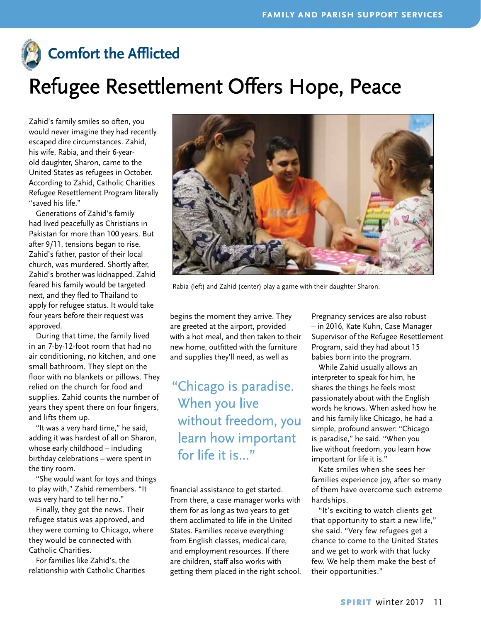

### **Comfort the Afflicted**

# Refugee Resettlement Offers Hope, Peace

Zahid's family smiles so often, you would never imagine they had recently escaped dire circumstances. Zahid, his wife, Rabia, and their 6-yearold daughter, Sharon, came to the United States as refugees in October. According to Zahid, Catholic Charities Refugee Resettlement Program literally "saved his life."

Generations of Zahid's family had lived peacefully as Christians in Pakistan for more than 100 years. But after 9/11, tensions began to rise. Zahid's father, pastor of their local church, was murdered. Shortly after, Zahid's brother was kidnapped. Zahid feared his family would be targeted next, and they fled to Thailand to apply for refugee status. It would take four years before their request was approved.

During that time, the family lived in an 7-by-12-foot room that had no air conditioning, no kitchen, and one small bathroom. They slept on the floor with no blankets or pillows. They relied on the church for food and supplies. Zahid counts the number of years they spent there on four fingers, and lifts them up.

"It was a very hard time," he said, adding it was hardest of all on Sharon, whose early childhood – including birthday celebrations – were spent in the tiny room.

"She would want for toys and things to play with," Zahid remembers. "It was very hard to tell her no."

Finally, they got the news. Their refugee status was approved, and they were coming to Chicago, where they would be connected with Catholic Charities.

For families like Zahid's, the relationship with Catholic Charities



Rabia (left) and Zahid (center) play a game with their daughter Sharon.

begins the moment they arrive. They are greeted at the airport, provided with a hot meal, and then taken to their new home, outfitted with the furniture and supplies they'll need, as well as

### " Chicago is paradise. When you live without freedom, you learn how important for life it is..."

financial assistance to get started. From there, a case manager works with them for as long as two years to get them acclimated to life in the United States. Families receive everything from English classes, medical care, and employment resources. If there are children, staff also works with getting them placed in the right school.

Pregnancy services are also robust – in 2016, Kate Kuhn, Case Manager Supervisor of the Refugee Resettlement Program, said they had about 15 babies born into the program.

While Zahid usually allows an interpreter to speak for him, he shares the things he feels most passionately about with the English words he knows. When asked how he and his family like Chicago, he had a simple, profound answer: "Chicago is paradise," he said. "When you live without freedom, you learn how important for life it is."

Kate smiles when she sees her families experience joy, after so many of them have overcome such extreme hardships.

"It's exciting to watch clients get that opportunity to start a new life," she said. "Very few refugees get a chance to come to the United States and we get to work with that lucky few. We help them make the best of their opportunities."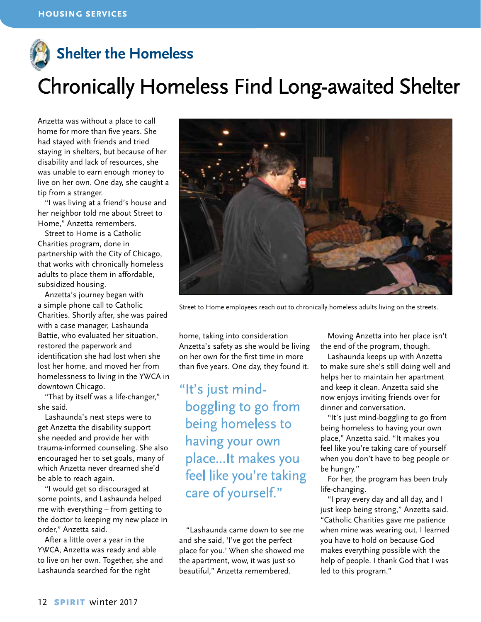# **Shelter the Homeless**

# Chronically Homeless Find Long-awaited Shelter

Anzetta was without a place to call home for more than five years. She had stayed with friends and tried staying in shelters, but because of her disability and lack of resources, she was unable to earn enough money to live on her own. One day, she caught a tip from a stranger.

"I was living at a friend's house and her neighbor told me about Street to Home," Anzetta remembers.

Street to Home is a Catholic Charities program, done in partnership with the City of Chicago, that works with chronically homeless adults to place them in affordable, subsidized housing.

Anzetta's journey began with a simple phone call to Catholic Charities. Shortly after, she was paired with a case manager, Lashaunda Battie, who evaluated her situation, restored the paperwork and identification she had lost when she lost her home, and moved her from homelessness to living in the YWCA in downtown Chicago.

"That by itself was a life-changer," she said.

Lashaunda's next steps were to get Anzetta the disability support she needed and provide her with trauma-informed counseling. She also encouraged her to set goals, many of which Anzetta never dreamed she'd be able to reach again.

"I would get so discouraged at some points, and Lashaunda helped me with everything – from getting to the doctor to keeping my new place in order," Anzetta said.

After a little over a year in the YWCA, Anzetta was ready and able to live on her own. Together, she and Lashaunda searched for the right



Street to Home employees reach out to chronically homeless adults living on the streets.

home, taking into consideration Anzetta's safety as she would be living on her own for the first time in more than five years. One day, they found it.

"It's just mindboggling to go from being homeless to having your own place...It makes you feel like you're taking care of yourself."

"Lashaunda came down to see me and she said, 'I've got the perfect place for you.' When she showed me the apartment, wow, it was just so beautiful," Anzetta remembered.

Moving Anzetta into her place isn't the end of the program, though.

Lashaunda keeps up with Anzetta to make sure she's still doing well and helps her to maintain her apartment and keep it clean. Anzetta said she now enjoys inviting friends over for dinner and conversation.

"It's just mind-boggling to go from being homeless to having your own place," Anzetta said. "It makes you feel like you're taking care of yourself when you don't have to beg people or be hungry."

For her, the program has been truly life-changing.

"I pray every day and all day, and I just keep being strong," Anzetta said. "Catholic Charities gave me patience when mine was wearing out. I learned you have to hold on because God makes everything possible with the help of people. I thank God that I was led to this program."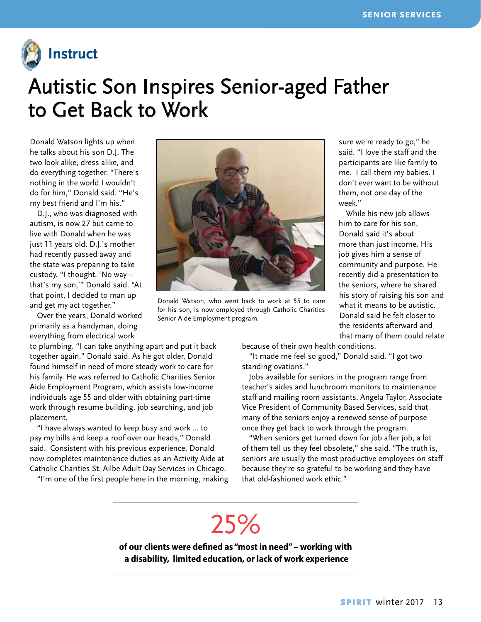

### Autistic Son Inspires Senior-aged Father to Get Back to Work

Donald Watson lights up when he talks about his son D.J. The two look alike, dress alike, and do everything together. "There's nothing in the world I wouldn't do for him," Donald said. "He's my best friend and I'm his."

D.J., who was diagnosed with autism, is now 27 but came to live with Donald when he was just 11 years old. D.J.'s mother had recently passed away and the state was preparing to take custody. "I thought, 'No way – that's my son,'" Donald said. "At that point, I decided to man up and get my act together."

Over the years, Donald worked primarily as a handyman, doing everything from electrical work

to plumbing. "I can take anything apart and put it back together again," Donald said. As he got older, Donald found himself in need of more steady work to care for his family. He was referred to Catholic Charities Senior Aide Employment Program, which assists low-income individuals age 55 and older with obtaining part-time work through resume building, job searching, and job placement.

"I have always wanted to keep busy and work … to pay my bills and keep a roof over our heads," Donald said. Consistent with his previous experience, Donald now completes maintenance duties as an Activity Aide at Catholic Charities St. Ailbe Adult Day Services in Chicago.

"I'm one of the first people here in the morning, making



Donald Watson, who went back to work at 55 to care for his son, is now employed through Catholic Charities Senior Aide Employment program.

sure we're ready to go," he said. "I love the staff and the participants are like family to me. I call them my babies. I don't ever want to be without them, not one day of the week."

While his new job allows him to care for his son, Donald said it's about more than just income. His job gives him a sense of community and purpose. He recently did a presentation to the seniors, where he shared his story of raising his son and what it means to be autistic. Donald said he felt closer to the residents afterward and that many of them could relate

because of their own health conditions.

"It made me feel so good," Donald said. "I got two standing ovations."

Jobs available for seniors in the program range from teacher's aides and lunchroom monitors to maintenance staff and mailing room assistants. Angela Taylor, Associate Vice President of Community Based Services, said that many of the seniors enjoy a renewed sense of purpose once they get back to work through the program.

"When seniors get turned down for job after job, a lot of them tell us they feel obsolete," she said. "The truth is, seniors are usually the most productive employees on staff because they're so grateful to be working and they have that old-fashioned work ethic."

# 25%

**of our clients were defined as "most in need" – working with a disability, limited education, or lack of work experience**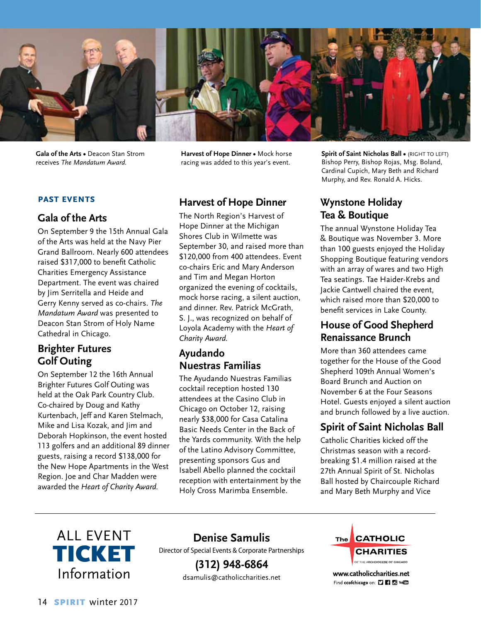

**Gala of the Arts •** Deacon Stan Strom receives *The Mandatum Award.*

**Harvest of Hope Dinner •** Mock horse racing was added to this year's event.

#### **past events**

#### **Gala of the Arts**

On September 9 the 15th Annual Gala of the Arts was held at the Navy Pier Grand Ballroom. Nearly 600 attendees raised \$317,000 to benefit Catholic Charities Emergency Assistance Department. The event was chaired by Jim Serritella and Heide and Gerry Kenny served as co-chairs. *The Mandatum Award* was presented to Deacon Stan Strom of Holy Name Cathedral in Chicago.

#### **Brighter Futures Golf Outing**

On September 12 the 16th Annual Brighter Futures Golf Outing was held at the Oak Park Country Club. Co-chaired by Doug and Kathy Kurtenbach, Jeff and Karen Stelmach, Mike and Lisa Kozak, and Jim and Deborah Hopkinson, the event hosted 113 golfers and an additional 89 dinner guests, raising a record \$138,000 for the New Hope Apartments in the West Region. Joe and Char Madden were awarded the *Heart of Charity Award.*

#### **Harvest of Hope Dinner**

The North Region's Harvest of Hope Dinner at the Michigan Shores Club in Wilmette was September 30, and raised more than \$120,000 from 400 attendees. Event co-chairs Eric and Mary Anderson and Tim and Megan Horton organized the evening of cocktails, mock horse racing, a silent auction, and dinner. Rev. Patrick McGrath, S. J., was recognized on behalf of Loyola Academy with the *Heart of Charity Award.* 

#### **Ayudando Nuestras Familias**

The Ayudando Nuestras Familias cocktail reception hosted 130 attendees at the Casino Club in Chicago on October 12, raising nearly \$38,000 for Casa Catalina Basic Needs Center in the Back of the Yards community. With the help of the Latino Advisory Committee, presenting sponsors Gus and Isabell Abello planned the cocktail reception with entertainment by the Holy Cross Marimba Ensemble.

**Spirit of Saint Nicholas Ball • (RIGHT TO LEFT)** Bishop Perry, Bishop Rojas, Msg. Boland, Cardinal Cupich, Mary Beth and Richard Murphy, and Rev. Ronald A. Hicks.

#### **Wynstone Holiday Tea & Boutique**

The annual Wynstone Holiday Tea & Boutique was November 3. More than 100 guests enjoyed the Holiday Shopping Boutique featuring vendors with an array of wares and two High Tea seatings. Tae Haider-Krebs and Jackie Cantwell chaired the event, which raised more than \$20,000 to benefit services in Lake County.

#### **House of Good Shepherd Renaissance Brunch**

More than 360 attendees came together for the House of the Good Shepherd 109th Annual Women's Board Brunch and Auction on November 6 at the Four Seasons Hotel. Guests enjoyed a silent auction and brunch followed by a live auction.

#### **Spirit of Saint Nicholas Ball**

Catholic Charities kicked off the Christmas season with a recordbreaking \$1.4 million raised at the 27th Annual Spirit of St. Nicholas Ball hosted by Chaircouple Richard and Mary Beth Murphy and Vice



**Denise Samulis** Director of Special Events & Corporate Partnerships

> **(312) 948-6864** dsamulis@catholiccharities.net



www.catholiccharities.net Find ccofchicago on: [] [] [] [] will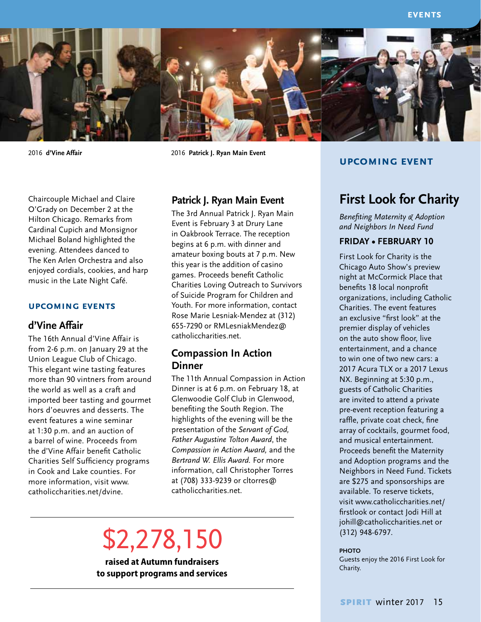

2016 **d'Vine Affair** 2016 **Patrick J. Ryan Main Event**

Chaircouple Michael and Claire O'Grady on December 2 at the Hilton Chicago. Remarks from Cardinal Cupich and Monsignor Michael Boland highlighted the evening. Attendees danced to The Ken Arlen Orchestra and also enjoyed cordials, cookies, and harp music in the Late Night Café.

#### **upcoming events**

#### **d'Vine Affair**

The 16th Annual d'Vine Affair is from 2-6 p.m. on January 29 at the Union League Club of Chicago. This elegant wine tasting features more than 90 vintners from around the world as well as a craft and imported beer tasting and gourmet hors d'oeuvres and desserts. The event features a wine seminar at 1:30 p.m. and an auction of a barrel of wine. Proceeds from the d'Vine Affair benefit Catholic Charities Self Sufficiency programs in Cook and Lake counties. For more information, visit www. catholiccharities.net/dvine.

#### **Patrick J. Ryan Main Event**

The 3rd Annual Patrick J. Ryan Main Event is February 3 at Drury Lane in Oakbrook Terrace. The reception begins at 6 p.m. with dinner and amateur boxing bouts at 7 p.m. New this year is the addition of casino games. Proceeds benefit Catholic Charities Loving Outreach to Survivors of Suicide Program for Children and Youth. For more information, contact Rose Marie Lesniak-Mendez at (312) 655-7290 or RMLesniakMendez@ catholiccharities.net.

#### **Compassion In Action Dinner**

The 11th Annual Compassion in Action Dinner is at 6 p.m. on February 18, at Glenwoodie Golf Club in Glenwood, benefiting the South Region. The highlights of the evening will be the presentation of the *Servant of God, Father Augustine Tolton Award*, the *Compassion in Action Award,* and the *Bertrand W. Ellis Award.* For more information, call Christopher Torres at (708) 333-9239 or cltorres@ catholiccharities.net.

# \$2,278,150

**raised at Autumn fundraisers to support programs and services** 

#### **upcoming event**

#### **First Look for Charity**

*Benefiting Maternity & Adoption and Neighbors In Need Fund*

#### **Friday • February 10**

First Look for Charity is the Chicago Auto Show's preview night at McCormick Place that benefits 18 local nonprofit organizations, including Catholic Charities. The event features an exclusive "first look" at the premier display of vehicles on the auto show floor, live entertainment, and a chance to win one of two new cars: a 2017 Acura TLX or a 2017 Lexus NX. Beginning at 5:30 p.m., guests of Catholic Charities are invited to attend a private pre-event reception featuring a raffle, private coat check, fine array of cocktails, gourmet food, and musical entertainment. Proceeds benefit the Maternity and Adoption programs and the Neighbors in Need Fund. Tickets are \$275 and sponsorships are available. To reserve tickets, visit www.catholiccharities.net/ firstlook or contact Jodi Hill at johill@catholiccharities.net or (312) 948-6797.

#### **PHOTO**

Guests enjoy the 2016 First Look for Charity.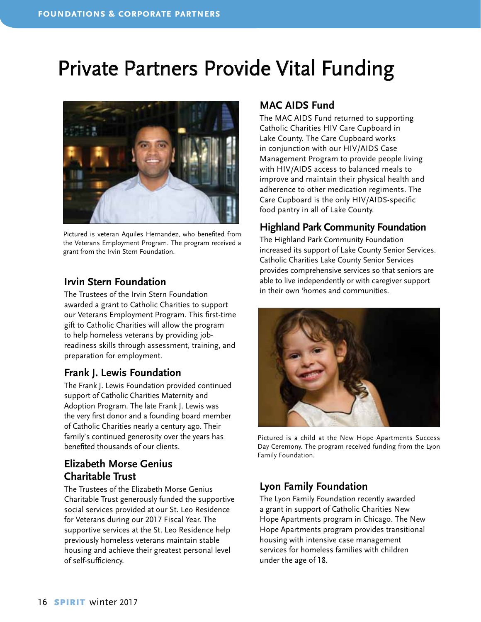### Private Partners Provide Vital Funding



Pictured is veteran Aquiles Hernandez, who benefited from the Veterans Employment Program. The program received a grant from the Irvin Stern Foundation.

#### **Irvin Stern Foundation**

The Trustees of the Irvin Stern Foundation awarded a grant to Catholic Charities to support our Veterans Employment Program. This first-time gift to Catholic Charities will allow the program to help homeless veterans by providing jobreadiness skills through assessment, training, and preparation for employment.

#### **Frank J. Lewis Foundation**

The Frank J. Lewis Foundation provided continued support of Catholic Charities Maternity and Adoption Program. The late Frank J. Lewis was the very first donor and a founding board member of Catholic Charities nearly a century ago. Their family's continued generosity over the years has benefited thousands of our clients.

#### **Elizabeth Morse Genius Charitable Trust**

The Trustees of the Elizabeth Morse Genius Charitable Trust generously funded the supportive social services provided at our St. Leo Residence for Veterans during our 2017 Fiscal Year. The supportive services at the St. Leo Residence help previously homeless veterans maintain stable housing and achieve their greatest personal level of self-sufficiency.

#### **MAC AIDS Fund**

The MAC AIDS Fund returned to supporting Catholic Charities HIV Care Cupboard in Lake County. The Care Cupboard works in conjunction with our HIV/AIDS Case Management Program to provide people living with HIV/AIDS access to balanced meals to improve and maintain their physical health and adherence to other medication regiments. The Care Cupboard is the only HIV/AIDS-specific food pantry in all of Lake County.

#### **Highland Park Community Foundation**

The Highland Park Community Foundation increased its support of Lake County Senior Services. Catholic Charities Lake County Senior Services provides comprehensive services so that seniors are able to live independently or with caregiver support in their own 'homes and communities.



Pictured is a child at the New Hope Apartments Success Day Ceremony. The program received funding from the Lyon Family Foundation.

#### **Lyon Family Foundation**

The Lyon Family Foundation recently awarded a grant in support of Catholic Charities New Hope Apartments program in Chicago. The New Hope Apartments program provides transitional housing with intensive case management services for homeless families with children under the age of 18.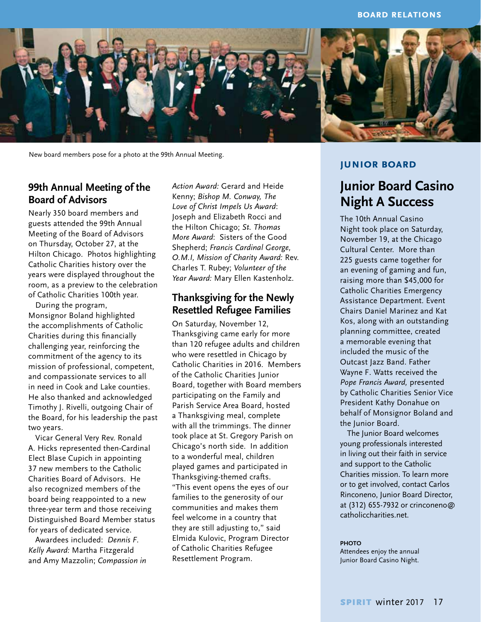

New board members pose for a photo at the 99th Annual Meeting.

#### **99th Annual Meeting of the Board of Advisors**

Nearly 350 board members and guests attended the 99th Annual Meeting of the Board of Advisors on Thursday, October 27, at the Hilton Chicago. Photos highlighting Catholic Charities history over the years were displayed throughout the room, as a preview to the celebration of Catholic Charities 100th year.

During the program, Monsignor Boland highlighted the accomplishments of Catholic Charities during this financially challenging year, reinforcing the commitment of the agency to its mission of professional, competent, and compassionate services to all in need in Cook and Lake counties. He also thanked and acknowledged Timothy J. Rivelli, outgoing Chair of the Board, for his leadership the past two years.

Vicar General Very Rev. Ronald A. Hicks represented then-Cardinal Elect Blase Cupich in appointing 37 new members to the Catholic Charities Board of Advisors. He also recognized members of the board being reappointed to a new three-year term and those receiving Distinguished Board Member status for years of dedicated service.

Awardees included: *Dennis F. Kelly Award:* Martha Fitzgerald and Amy Mazzolin; *Compassion in*  *Action Award:* Gerard and Heide Kenny; *Bishop M. Conway, The Love of Christ Impels Us Award*: Joseph and Elizabeth Rocci and the Hilton Chicago; *St. Thomas More Award*: Sisters of the Good Shepherd; *Francis Cardinal George, O.M.I, Mission of Charity Award:* Rev. Charles T. Rubey; *Volunteer of the Year Award:* Mary Ellen Kastenholz.

#### **Thanksgiving for the Newly Resettled Refugee Families**

On Saturday, November 12, Thanksgiving came early for more than 120 refugee adults and children who were resettled in Chicago by Catholic Charities in 2016. Members of the Catholic Charities Junior Board, together with Board members participating on the Family and Parish Service Area Board, hosted a Thanksgiving meal, complete with all the trimmings. The dinner took place at St. Gregory Parish on Chicago's north side. In addition to a wonderful meal, children played games and participated in Thanksgiving-themed crafts. "This event opens the eyes of our families to the generosity of our communities and makes them feel welcome in a country that they are still adjusting to," said Elmida Kulovic, Program Director of Catholic Charities Refugee Resettlement Program.

#### **junior board**

#### **Junior Board Casino Night A Success**

The 10th Annual Casino Night took place on Saturday, November 19, at the Chicago Cultural Center. More than 225 guests came together for an evening of gaming and fun, raising more than \$45,000 for Catholic Charities Emergency Assistance Department. Event Chairs Daniel Marinez and Kat Kos, along with an outstanding planning committee, created a memorable evening that included the music of the Outcast Jazz Band. Father Wayne F. Watts received the *Pope Francis Award,* presented by Catholic Charities Senior Vice President Kathy Donahue on behalf of Monsignor Boland and the Junior Board.

The Junior Board welcomes young professionals interested in living out their faith in service and support to the Catholic Charities mission. To learn more or to get involved, contact Carlos Rinconeno, Junior Board Director, at (312) 655-7932 or crinconeno@ catholiccharities.net.

#### **PHOTO**

Attendees enjoy the annual Junior Board Casino Night.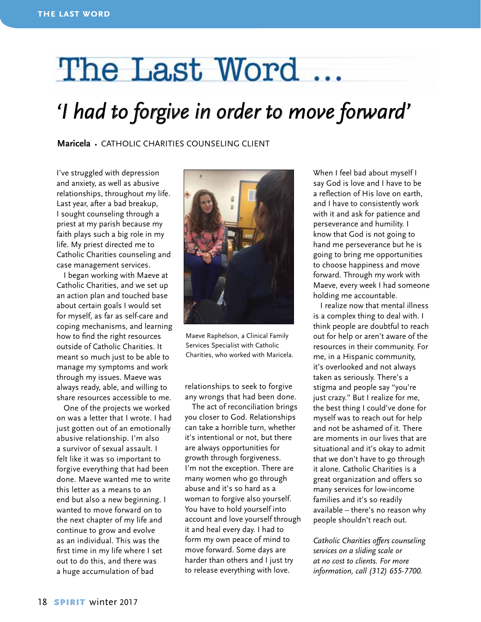# The Last Word

# *'I had to forgive in order to move forward'*

**Maricela** • Catholic Charities counseling client

I've struggled with depression and anxiety, as well as abusive relationships, throughout my life. Last year, after a bad breakup, I sought counseling through a priest at my parish because my faith plays such a big role in my life. My priest directed me to Catholic Charities counseling and case management services.

I began working with Maeve at Catholic Charities, and we set up an action plan and touched base about certain goals I would set for myself, as far as self-care and coping mechanisms, and learning how to find the right resources outside of Catholic Charities. It meant so much just to be able to manage my symptoms and work through my issues. Maeve was always ready, able, and willing to share resources accessible to me.

One of the projects we worked on was a letter that I wrote. I had just gotten out of an emotionally abusive relationship. I'm also a survivor of sexual assault. I felt like it was so important to forgive everything that had been done. Maeve wanted me to write this letter as a means to an end but also a new beginning. I wanted to move forward on to the next chapter of my life and continue to grow and evolve as an individual. This was the first time in my life where I set out to do this, and there was a huge accumulation of bad



Maeve Raphelson, a Clinical Family Services Specialist with Catholic Charities, who worked with Maricela.

relationships to seek to forgive any wrongs that had been done.

The act of reconciliation brings you closer to God. Relationships can take a horrible turn, whether it's intentional or not, but there are always opportunities for growth through forgiveness. I'm not the exception. There are many women who go through abuse and it's so hard as a woman to forgive also yourself. You have to hold yourself into account and love yourself through it and heal every day. I had to form my own peace of mind to move forward. Some days are harder than others and I just try to release everything with love.

When I feel bad about myself I say God is love and I have to be a reflection of His love on earth, and I have to consistently work with it and ask for patience and perseverance and humility. I know that God is not going to hand me perseverance but he is going to bring me opportunities to choose happiness and move forward. Through my work with Maeve, every week I had someone holding me accountable.

I realize now that mental illness is a complex thing to deal with. I think people are doubtful to reach out for help or aren't aware of the resources in their community. For me, in a Hispanic community, it's overlooked and not always taken as seriously. There's a stigma and people say "you're just crazy." But I realize for me, the best thing I could've done for myself was to reach out for help and not be ashamed of it. There are moments in our lives that are situational and it's okay to admit that we don't have to go through it alone. Catholic Charities is a great organization and offers so many services for low-income families and it's so readily available – there's no reason why people shouldn't reach out.

*Catholic Charities offers counseling services on a sliding scale or at no cost to clients. For more information, call (312) 655-7700.*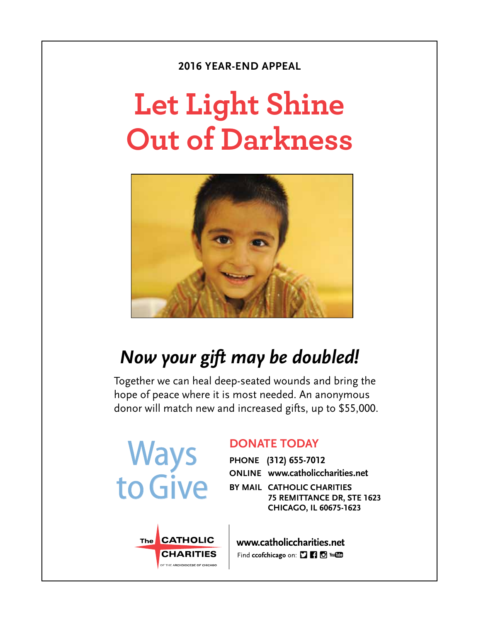#### **2016 YEAR-END APPEAL**

# **Let Light Shine Out of Darkness**



### *Now your gift may be doubled!*

Together we can heal deep-seated wounds and bring the hope of peace where it is most needed. An anonymous donor will match new and increased gifts, up to \$55,000.



The CATHOLIC

**CHARITIES** 

F THE ARCHDIOCESE OF CHICAGO

#### **DONATE TODAY**

**PHONE (312) 655-7012 ONLINE www.catholiccharities.net**

**BY MAIL CATHOLIC CHARITIES 75 REMITTANCE DR, STE 1623 CHICAGO, IL 60675-1623**

www.catholiccharities.net Find ccofchicago on: [] [] [] You